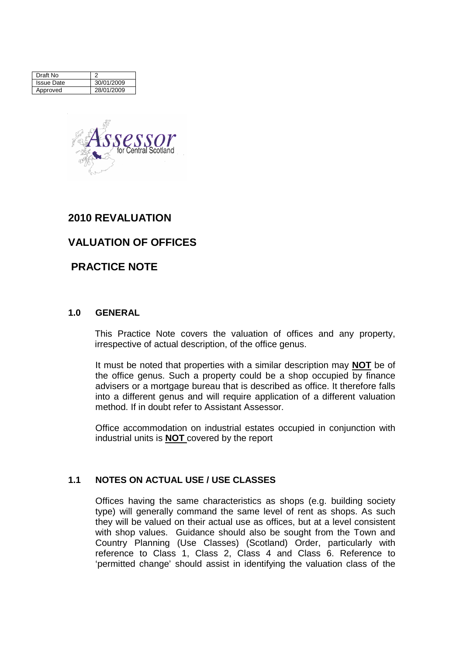| Draft No          |            |
|-------------------|------------|
| <b>Issue Date</b> | 30/01/2009 |
| Approved          | 28/01/2009 |



# **2010 REVALUATION**

# **VALUATION OF OFFICES**

# **PRACTICE NOTE**

### **1.0 GENERAL**

This Practice Note covers the valuation of offices and any property, irrespective of actual description, of the office genus.

It must be noted that properties with a similar description may **NOT** be of the office genus. Such a property could be a shop occupied by finance advisers or a mortgage bureau that is described as office. It therefore falls into a different genus and will require application of a different valuation method. If in doubt refer to Assistant Assessor.

Office accommodation on industrial estates occupied in conjunction with industrial units is **NOT** covered by the report

## **1.1 NOTES ON ACTUAL USE / USE CLASSES**

Offices having the same characteristics as shops (e.g. building society type) will generally command the same level of rent as shops. As such they will be valued on their actual use as offices, but at a level consistent with shop values. Guidance should also be sought from the Town and Country Planning (Use Classes) (Scotland) Order, particularly with reference to Class 1, Class 2, Class 4 and Class 6. Reference to 'permitted change' should assist in identifying the valuation class of the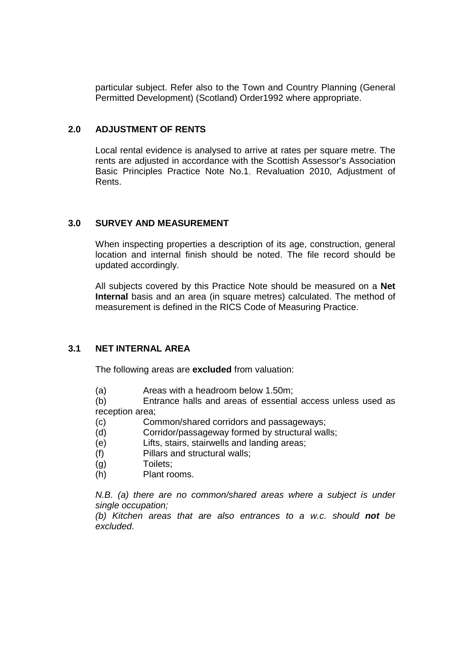particular subject. Refer also to the Town and Country Planning (General Permitted Development) (Scotland) Order1992 where appropriate.

### **2.0 ADJUSTMENT OF RENTS**

Local rental evidence is analysed to arrive at rates per square metre. The rents are adjusted in accordance with the Scottish Assessor's Association Basic Principles Practice Note No.1, Revaluation 2010, Adjustment of Rents.

### **3.0 SURVEY AND MEASUREMENT**

When inspecting properties a description of its age, construction, general location and internal finish should be noted. The file record should be updated accordingly.

All subjects covered by this Practice Note should be measured on a **Net Internal** basis and an area (in square metres) calculated. The method of measurement is defined in the RICS Code of Measuring Practice.

## **3.1 NET INTERNAL AREA**

The following areas are **excluded** from valuation:

(a) Areas with a headroom below 1.50m;

(b) Entrance halls and areas of essential access unless used as reception area;

- (c) Common/shared corridors and passageways;
- (d) Corridor/passageway formed by structural walls;
- (e) Lifts, stairs, stairwells and landing areas;
- (f) Pillars and structural walls;
- (g) Toilets;
- (h) Plant rooms.

N.B. (a) there are no common/shared areas where a subject is under single occupation;

(b) Kitchen areas that are also entrances to a w.c. should **not** be excluded.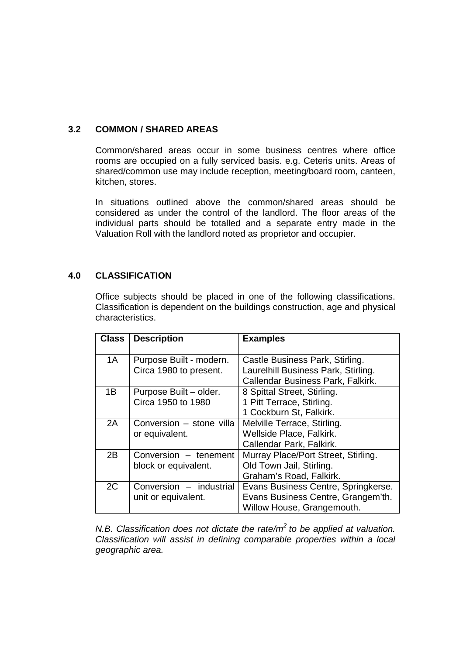## **3.2 COMMON / SHARED AREAS**

Common/shared areas occur in some business centres where office rooms are occupied on a fully serviced basis. e.g. Ceteris units. Areas of shared/common use may include reception, meeting/board room, canteen, kitchen, stores.

In situations outlined above the common/shared areas should be considered as under the control of the landlord. The floor areas of the individual parts should be totalled and a separate entry made in the Valuation Roll with the landlord noted as proprietor and occupier.

# **4.0 CLASSIFICATION**

Office subjects should be placed in one of the following classifications. Classification is dependent on the buildings construction, age and physical characteristics.

| <b>Class</b> | <b>Description</b>                                | <b>Examples</b>                                                                                             |
|--------------|---------------------------------------------------|-------------------------------------------------------------------------------------------------------------|
| 1A           | Purpose Built - modern.<br>Circa 1980 to present. | Castle Business Park, Stirling.<br>Laurelhill Business Park, Stirling.<br>Callendar Business Park, Falkirk. |
| 1B           | Purpose Built - older.<br>Circa 1950 to 1980      | 8 Spittal Street, Stirling.<br>1 Pitt Terrace, Stirling.<br>1 Cockburn St, Falkirk.                         |
| 2A           | Conversion - stone villa<br>or equivalent.        | Melville Terrace, Stirling.<br>Wellside Place, Falkirk.<br>Callendar Park, Falkirk.                         |
| 2B           | Conversion - tenement<br>block or equivalent.     | Murray Place/Port Street, Stirling.<br>Old Town Jail, Stirling.<br>Graham's Road, Falkirk.                  |
| 2C           | Conversion - industrial<br>unit or equivalent.    | Evans Business Centre, Springkerse.<br>Evans Business Centre, Grangem'th.<br>Willow House, Grangemouth.     |

N.B. Classification does not dictate the rate/ $m^2$  to be applied at valuation. Classification will assist in defining comparable properties within a local geographic area.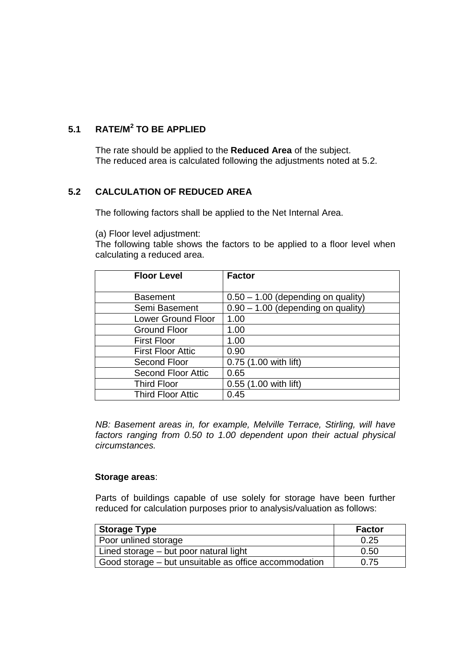# **5.1 RATE/M<sup>2</sup> TO BE APPLIED**

The rate should be applied to the **Reduced Area** of the subject. The reduced area is calculated following the adjustments noted at 5.2.

# **5.2 CALCULATION OF REDUCED AREA**

The following factors shall be applied to the Net Internal Area.

(a) Floor level adjustment:

The following table shows the factors to be applied to a floor level when calculating a reduced area.

| <b>Floor Level</b>        | <b>Factor</b>                        |
|---------------------------|--------------------------------------|
|                           |                                      |
| <b>Basement</b>           | $0.50 - 1.00$ (depending on quality) |
| Semi Basement             | $0.90 - 1.00$ (depending on quality) |
| <b>Lower Ground Floor</b> | 1.00                                 |
| <b>Ground Floor</b>       | 1.00                                 |
| <b>First Floor</b>        | 1.00                                 |
| <b>First Floor Attic</b>  | 0.90                                 |
| Second Floor              | 0.75 (1.00 with lift)                |
| <b>Second Floor Attic</b> | 0.65                                 |
| <b>Third Floor</b>        | 0.55 (1.00 with lift)                |
| <b>Third Floor Attic</b>  | 0.45                                 |

NB: Basement areas in, for example, Melville Terrace, Stirling, will have factors ranging from 0.50 to 1.00 dependent upon their actual physical circumstances.

### **Storage areas**:

Parts of buildings capable of use solely for storage have been further reduced for calculation purposes prior to analysis/valuation as follows:

| <b>Storage Type</b>                                   | <b>Factor</b> |
|-------------------------------------------------------|---------------|
| <b>Poor unlined storage</b>                           | 0.25          |
| Lined storage – but poor natural light                | 0.50          |
| Good storage – but unsuitable as office accommodation | 0.75          |